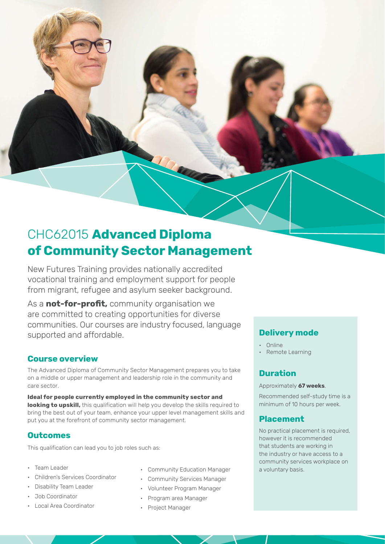# CHC62015 **Advanced Diploma of Community Sector Management**

New Futures Training provides nationally accredited vocational training and employment support for people from migrant, refugee and asylum seeker background.

As a **not-for-profit,** community organisation we are committed to creating opportunities for diverse communities. Our courses are industry focused, language supported and affordable.

## **Course overview**

The Advanced Diploma of Community Sector Management prepares you to take on a middle or upper management and leadership role in the community and care sector.

**Ideal for people currently employed in the community sector and looking to upskill,** this qualification will help you develop the skills required to bring the best out of your team, enhance your upper level management skills and put you at the forefront of community sector management.

## **Outcomes**

This qualification can lead you to job roles such as:

- Team Leader
- Children's Services Coordinator
- Disability Team Leader
- Job Coordinator
- Local Area Coordinator
- Community Education Manager a voluntary basis.
- Community Services Manager
- Volunteer Program Manager
- Program area Manager
- Project Manager

## **Delivery mode**

- Online
- Remote Learning

## **Duration**

### Approximately **67 weeks**.

Recommended self-study time is a minimum of 10 hours per week.

## **Placement**

No practical placement is required, however it is recommended that students are working in the industry or have access to a community services workplace on